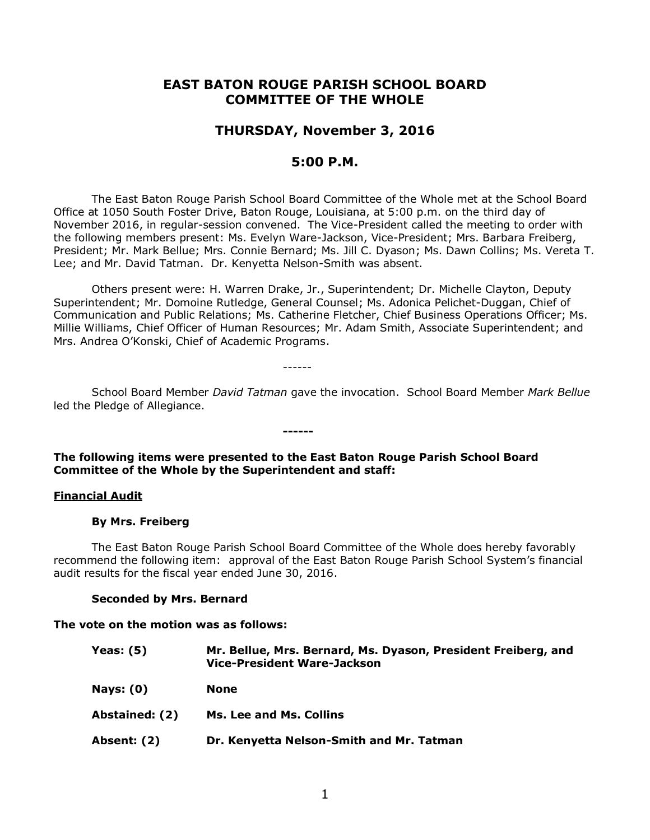# **EAST BATON ROUGE PARISH SCHOOL BOARD COMMITTEE OF THE WHOLE**

# **THURSDAY, November 3, 2016**

# **5:00 P.M.**

The East Baton Rouge Parish School Board Committee of the Whole met at the School Board Office at 1050 South Foster Drive, Baton Rouge, Louisiana, at 5:00 p.m. on the third day of November 2016, in regular-session convened. The Vice-President called the meeting to order with the following members present: Ms. Evelyn Ware-Jackson, Vice-President; Mrs. Barbara Freiberg, President; Mr. Mark Bellue; Mrs. Connie Bernard; Ms. Jill C. Dyason; Ms. Dawn Collins; Ms. Vereta T. Lee; and Mr. David Tatman. Dr. Kenyetta Nelson-Smith was absent.

Others present were: H. Warren Drake, Jr., Superintendent; Dr. Michelle Clayton, Deputy Superintendent; Mr. Domoine Rutledge, General Counsel; Ms. Adonica Pelichet-Duggan, Chief of Communication and Public Relations; Ms. Catherine Fletcher, Chief Business Operations Officer; Ms. Millie Williams, Chief Officer of Human Resources; Mr. Adam Smith, Associate Superintendent; and Mrs. Andrea O'Konski, Chief of Academic Programs.

------

School Board Member *David Tatman* gave the invocation. School Board Member *Mark Bellue* led the Pledge of Allegiance.

## **The following items were presented to the East Baton Rouge Parish School Board Committee of the Whole by the Superintendent and staff:**

**------**

### **Financial Audit**

#### **By Mrs. Freiberg**

The East Baton Rouge Parish School Board Committee of the Whole does hereby favorably recommend the following item: approval of the East Baton Rouge Parish School System's financial audit results for the fiscal year ended June 30, 2016.

#### **Seconded by Mrs. Bernard**

#### **The vote on the motion was as follows:**

**Yeas: (5) Mr. Bellue, Mrs. Bernard, Ms. Dyason, President Freiberg, and Vice-President Ware-Jackson Nays: (0) None Abstained: (2) Ms. Lee and Ms. Collins Absent: (2) Dr. Kenyetta Nelson-Smith and Mr. Tatman**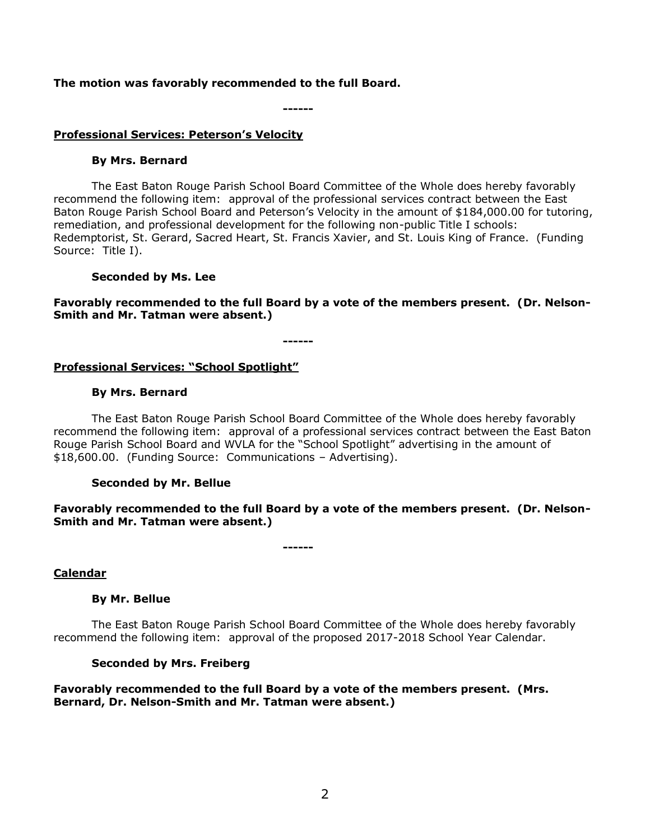### **The motion was favorably recommended to the full Board.**

**------**

### **Professional Services: Peterson's Velocity**

### **By Mrs. Bernard**

The East Baton Rouge Parish School Board Committee of the Whole does hereby favorably recommend the following item: approval of the professional services contract between the East Baton Rouge Parish School Board and Peterson's Velocity in the amount of \$184,000.00 for tutoring, remediation, and professional development for the following non-public Title I schools: Redemptorist, St. Gerard, Sacred Heart, St. Francis Xavier, and St. Louis King of France. (Funding Source: Title I).

## **Seconded by Ms. Lee**

**Favorably recommended to the full Board by a vote of the members present. (Dr. Nelson-Smith and Mr. Tatman were absent.)**

**------**

# **Professional Services: "School Spotlight"**

## **By Mrs. Bernard**

The East Baton Rouge Parish School Board Committee of the Whole does hereby favorably recommend the following item: approval of a professional services contract between the East Baton Rouge Parish School Board and WVLA for the "School Spotlight" advertising in the amount of \$18,600.00. (Funding Source: Communications – Advertising).

### **Seconded by Mr. Bellue**

**Favorably recommended to the full Board by a vote of the members present. (Dr. Nelson-Smith and Mr. Tatman were absent.)**

**------**

**Calendar**

### **By Mr. Bellue**

The East Baton Rouge Parish School Board Committee of the Whole does hereby favorably recommend the following item: approval of the proposed 2017-2018 School Year Calendar.

### **Seconded by Mrs. Freiberg**

**Favorably recommended to the full Board by a vote of the members present. (Mrs. Bernard, Dr. Nelson-Smith and Mr. Tatman were absent.)**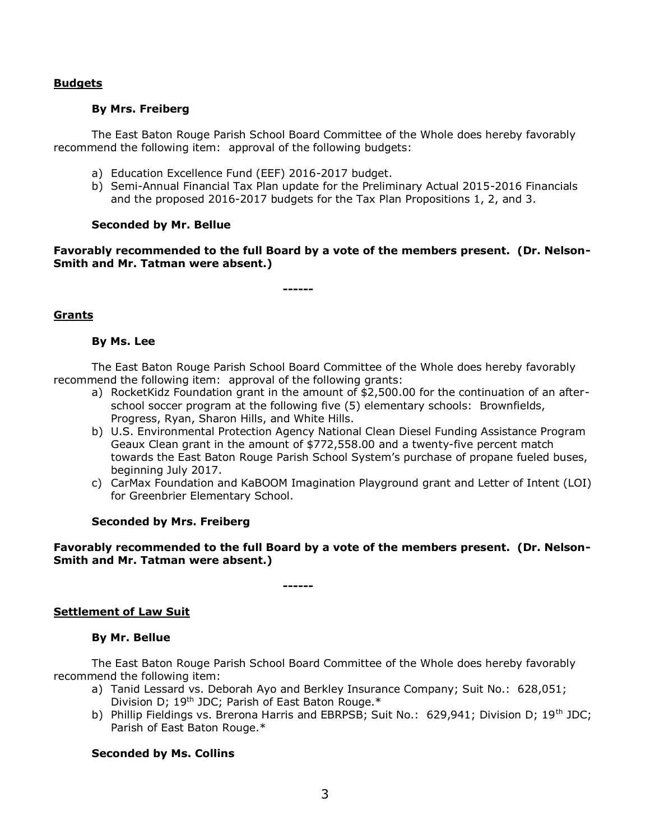### **Budgets**

### **By Mrs. Freiberg**

The East Baton Rouge Parish School Board Committee of the Whole does hereby favorably recommend the following item: approval of the following budgets:

- a) Education Excellence Fund (EEF) 2016-2017 budget.
- b) Semi-Annual Financial Tax Plan update for the Preliminary Actual 2015-2016 Financials and the proposed 2016-2017 budgets for the Tax Plan Propositions 1, 2, and 3.

## **Seconded by Mr. Bellue**

**Favorably recommended to the full Board by a vote of the members present. (Dr. Nelson-Smith and Mr. Tatman were absent.)**

**------**

# **Grants**

## **By Ms. Lee**

The East Baton Rouge Parish School Board Committee of the Whole does hereby favorably recommend the following item: approval of the following grants:

- a) RocketKidz Foundation grant in the amount of \$2,500.00 for the continuation of an afterschool soccer program at the following five (5) elementary schools: Brownfields, Progress, Ryan, Sharon Hills, and White Hills.
- b) U.S. Environmental Protection Agency National Clean Diesel Funding Assistance Program Geaux Clean grant in the amount of \$772,558.00 and a twenty-five percent match towards the East Baton Rouge Parish School System's purchase of propane fueled buses, beginning July 2017.
- c) CarMax Foundation and KaBOOM Imagination Playground grant and Letter of Intent (LOI) for Greenbrier Elementary School.

### **Seconded by Mrs. Freiberg**

**Favorably recommended to the full Board by a vote of the members present. (Dr. Nelson-Smith and Mr. Tatman were absent.)**

**------**

### **Settlement of Law Suit**

### **By Mr. Bellue**

The East Baton Rouge Parish School Board Committee of the Whole does hereby favorably recommend the following item:

- a) Tanid Lessard vs. Deborah Ayo and Berkley Insurance Company; Suit No.: 628,051; Division D; 19<sup>th</sup> JDC; Parish of East Baton Rouge.\*
- b) Phillip Fieldings vs. Brerona Harris and EBRPSB; Suit No.: 629,941; Division D; 19<sup>th</sup> JDC; Parish of East Baton Rouge.\*

# **Seconded by Ms. Collins**